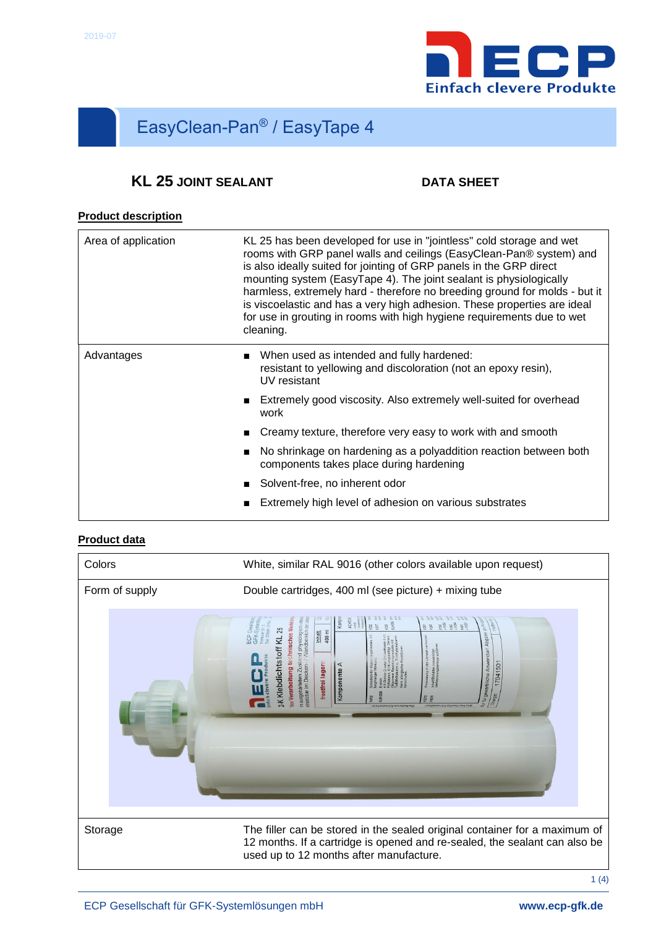

# EasyClean-Pan® / EasyTape 4

# **KL** 25 JOINT SEALANT DATA SHEET

## **Product description**

| Area of application | KL 25 has been developed for use in "jointless" cold storage and wet<br>rooms with GRP panel walls and ceilings (EasyClean-Pan® system) and<br>is also ideally suited for jointing of GRP panels in the GRP direct<br>mounting system (EasyTape 4). The joint sealant is physiologically<br>harmless, extremely hard - therefore no breeding ground for molds - but it<br>is viscoelastic and has a very high adhesion. These properties are ideal<br>for use in grouting in rooms with high hygiene requirements due to wet<br>cleaning. |  |  |
|---------------------|-------------------------------------------------------------------------------------------------------------------------------------------------------------------------------------------------------------------------------------------------------------------------------------------------------------------------------------------------------------------------------------------------------------------------------------------------------------------------------------------------------------------------------------------|--|--|
| Advantages          | When used as intended and fully hardened:<br>$\mathbf{r}$<br>resistant to yellowing and discoloration (not an epoxy resin),<br>UV resistant                                                                                                                                                                                                                                                                                                                                                                                               |  |  |
|                     | Extremely good viscosity. Also extremely well-suited for overhead<br>work                                                                                                                                                                                                                                                                                                                                                                                                                                                                 |  |  |
|                     | Creamy texture, therefore very easy to work with and smooth                                                                                                                                                                                                                                                                                                                                                                                                                                                                               |  |  |
|                     | No shrinkage on hardening as a polyaddition reaction between both<br>components takes place during hardening                                                                                                                                                                                                                                                                                                                                                                                                                              |  |  |
|                     | Solvent-free, no inherent odor                                                                                                                                                                                                                                                                                                                                                                                                                                                                                                            |  |  |
|                     | Extremely high level of adhesion on various substrates                                                                                                                                                                                                                                                                                                                                                                                                                                                                                    |  |  |

### **Product data**

| Colors         | White, similar RAL 9016 (other colors available upon request)                                                                                                                                                                                                                                                                                                                                                    |  |  |  |
|----------------|------------------------------------------------------------------------------------------------------------------------------------------------------------------------------------------------------------------------------------------------------------------------------------------------------------------------------------------------------------------------------------------------------------------|--|--|--|
| Form of supply | Double cartridges, 400 ml (see picture) + mixing tube                                                                                                                                                                                                                                                                                                                                                            |  |  |  |
|                | Komp<br>ACHT.<br><b>Chnisches Merkt</b><br>gë gë gë<br>登员<br>tand physiologischun<br>- / Wandbereich de L<br>岂<br>interesting<br>toff KL 25<br>ECP Ge<br>GFK-S<br>Inhalt<br>400 ml<br>Abgabe<br>Sewerbliche Anwender<br>frostfrei lagern<br>17041501<br>mausgehärteten Zusta<br>ensetzbar im Decken-<br><amponente<br></amponente<br> A<br>K Klebdicht<br>or Verarbeitung<br>Charge:<br><b>DEIDMUNIQUOJUPJOE</b> |  |  |  |
| Storage        | The filler can be stored in the sealed original container for a maximum of<br>12 months. If a cartridge is opened and re-sealed, the sealant can also be<br>used up to 12 months after manufacture.                                                                                                                                                                                                              |  |  |  |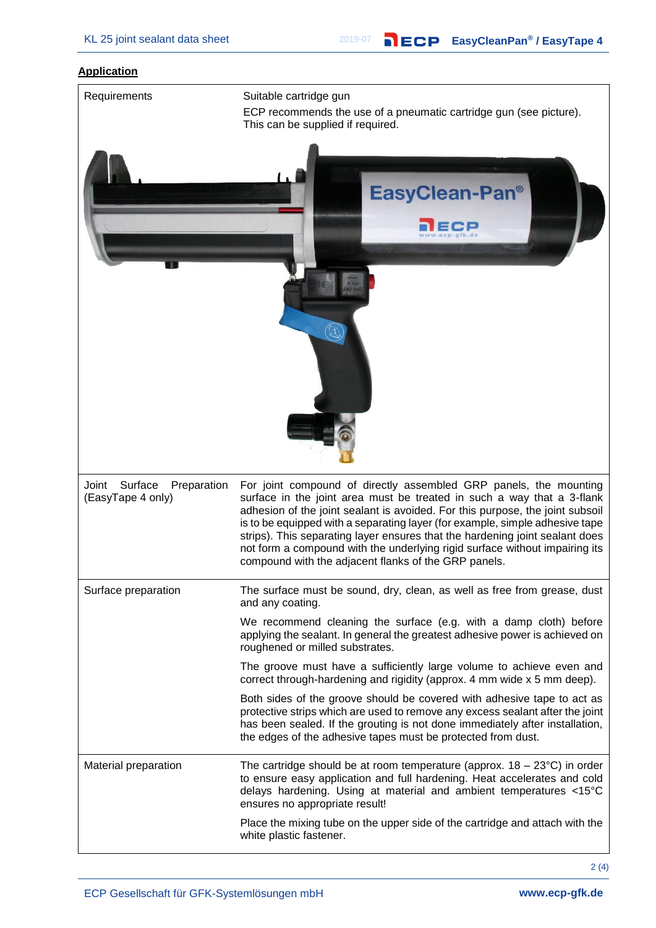#### **Application**



 $2(4)$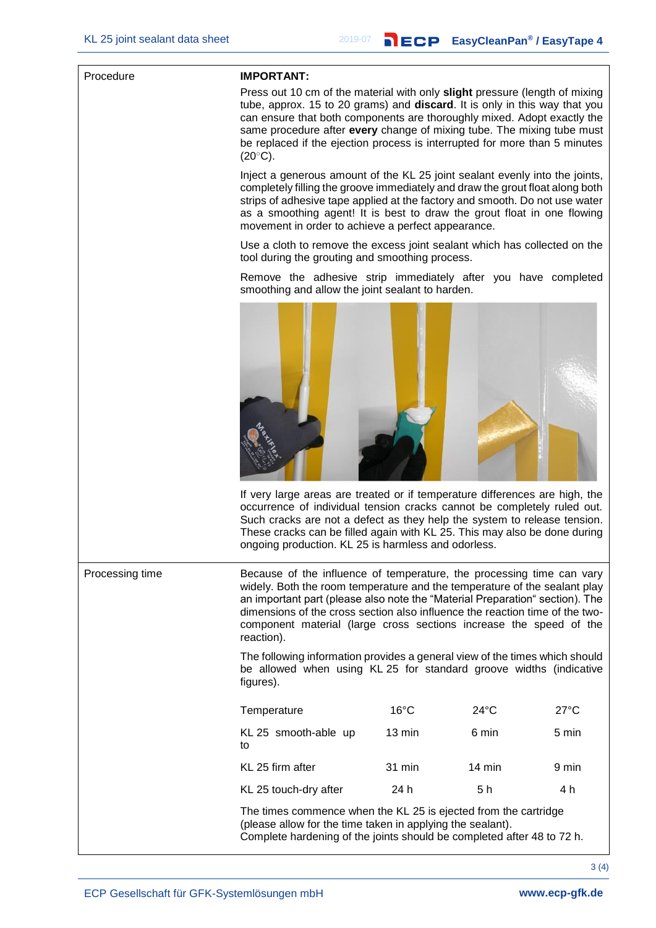#### Procedure **IMPORTANT:**

Press out 10 cm of the material with only **slight** pressure (length of mixing tube, approx. 15 to 20 grams) and **discard**. It is only in this way that you can ensure that both components are thoroughly mixed. Adopt exactly the same procedure after **every** change of mixing tube. The mixing tube must be replaced if the ejection process is interrupted for more than 5 minutes  $(20^{\circ}$ C).

Inject a generous amount of the KL 25 joint sealant evenly into the joints, completely filling the groove immediately and draw the grout float along both strips of adhesive tape applied at the factory and smooth. Do not use water as a smoothing agent! It is best to draw the grout float in one flowing movement in order to achieve a perfect appearance.

Use a cloth to remove the excess joint sealant which has collected on the tool during the grouting and smoothing process.

Remove the adhesive strip immediately after you have completed smoothing and allow the joint sealant to harden.



If very large areas are treated or if temperature differences are high, the occurrence of individual tension cracks cannot be completely ruled out. Such cracks are not a defect as they help the system to release tension. These cracks can be filled again with KL 25. This may also be done during ongoing production. KL 25 is harmless and odorless.

Processing time Because of the influence of temperature, the processing time can vary widely. Both the room temperature and the temperature of the sealant play an important part (please also note the "Material Preparation" section). The dimensions of the cross section also influence the reaction time of the twocomponent material (large cross sections increase the speed of the reaction).

> The following information provides a general view of the times which should be allowed when using KL 25 for standard groove widths (indicative figures).

| Temperature                | $16^{\circ}$ C   | $24^{\circ}$ C   | $27^{\circ}$ C |
|----------------------------|------------------|------------------|----------------|
| KL 25 smooth-able up<br>to | $13 \text{ min}$ | 6 min            | 5 min          |
| KL 25 firm after           | 31 min           | $14 \text{ min}$ | 9 min          |
| KL 25 touch-dry after      | 24 h             | 5 h              | 4 h            |

The times commence when the KL 25 is ejected from the cartridge (please allow for the time taken in applying the sealant). Complete hardening of the joints should be completed after 48 to 72 h.